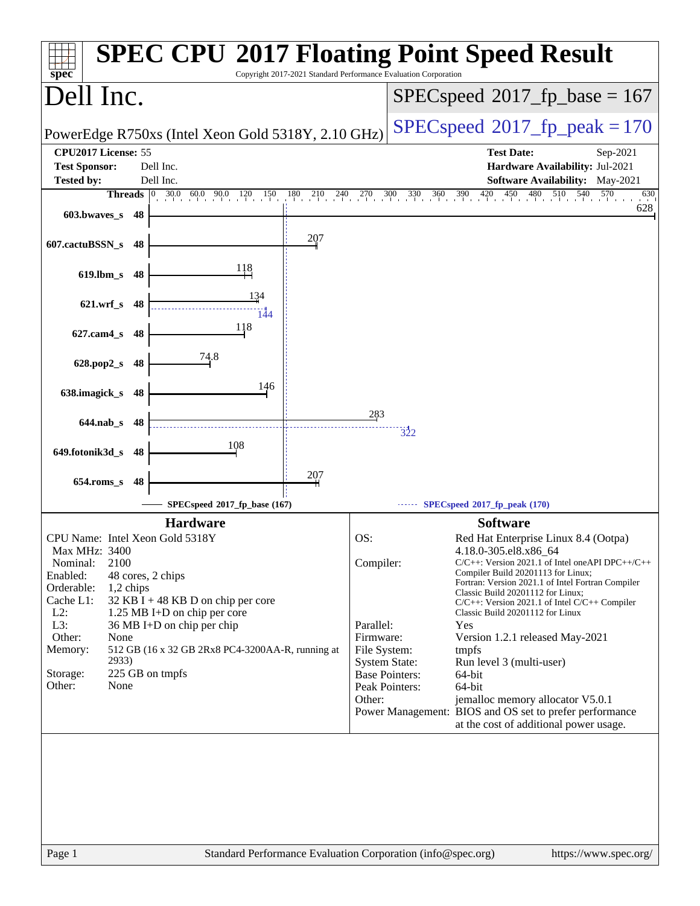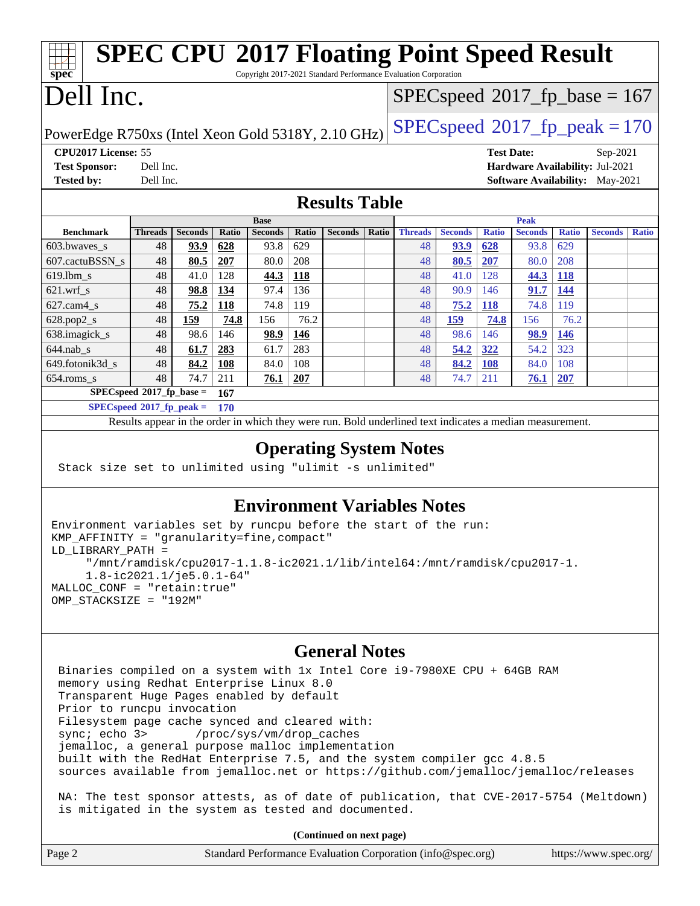|                                                    |                             |                |       |                                         |                                         |                |              | <b>SPEC CPU®2017 Floating Point Speed Result</b>                |                |                   |                |              |                                        |              |
|----------------------------------------------------|-----------------------------|----------------|-------|-----------------------------------------|-----------------------------------------|----------------|--------------|-----------------------------------------------------------------|----------------|-------------------|----------------|--------------|----------------------------------------|--------------|
| spec                                               |                             |                |       |                                         |                                         |                |              | Copyright 2017-2021 Standard Performance Evaluation Corporation |                |                   |                |              |                                        |              |
| Dell Inc.                                          |                             |                |       |                                         | $SPEC speed^{\circ}2017$ _fp_base = 167 |                |              |                                                                 |                |                   |                |              |                                        |              |
| PowerEdge R750xs (Intel Xeon Gold 5318Y, 2.10 GHz) |                             |                |       | $SPEC speed^{\circ}2017$ _fp_peak = 170 |                                         |                |              |                                                                 |                |                   |                |              |                                        |              |
| CPU2017 License: 55                                |                             |                |       |                                         |                                         |                |              |                                                                 |                | <b>Test Date:</b> |                |              | Sep-2021                               |              |
| <b>Test Sponsor:</b>                               | Dell Inc.                   |                |       |                                         |                                         |                |              |                                                                 |                |                   |                |              | Hardware Availability: Jul-2021        |              |
| <b>Tested by:</b>                                  | Dell Inc.                   |                |       |                                         |                                         |                |              |                                                                 |                |                   |                |              | <b>Software Availability:</b> May-2021 |              |
|                                                    | <b>Results Table</b>        |                |       |                                         |                                         |                |              |                                                                 |                |                   |                |              |                                        |              |
|                                                    |                             |                |       | <b>Base</b>                             |                                         |                |              | <b>Peak</b>                                                     |                |                   |                |              |                                        |              |
| <b>Benchmark</b>                                   | <b>Threads</b>              | <b>Seconds</b> | Ratio | <b>Seconds</b>                          | Ratio                                   | <b>Seconds</b> | <b>Ratio</b> | <b>Threads</b>                                                  | <b>Seconds</b> | <b>Ratio</b>      | <b>Seconds</b> | <b>Ratio</b> | <b>Seconds</b>                         | <b>Ratio</b> |
| 603.bwayes s                                       | 48                          | 93.9           | 628   | 93.8                                    | 629                                     |                |              | 48                                                              | <u>93.9</u>    | 628               | 93.8           | 629          |                                        |              |
| 607.cactuBSSN s                                    | 48                          | 80.5           | 207   | 80.0                                    | 208                                     |                |              | 48                                                              | 80.5           | 207               | 80.0           | 208          |                                        |              |
| $619.1$ bm s                                       | 48                          | 41.0           | 128   | 44.3                                    | 118                                     |                |              | 48                                                              | 41.0           | 128               | 44.3           | <b>118</b>   |                                        |              |
| $621$ .wrf s                                       | 48                          | 98.8           | 134   | 97.4                                    | 136                                     |                |              | 48                                                              | 90.9           | 146               | 91.7           | 144          |                                        |              |
| $627$ .cam $4 \text{ s}$                           | 48                          | 75.2           | 118   | 74.8                                    | 119                                     |                |              | 48                                                              | 75.2           | 118               | 74.8           | 119          |                                        |              |
| 628.pop2_s                                         | 48                          | 159            | 74.8  | 156                                     | 76.2                                    |                |              | 48                                                              | 159            | 74.8              | 156            | 76.2         |                                        |              |
| 638.imagick_s                                      | 48                          | 98.6           | 146   | 98.9                                    | 146                                     |                |              | 48                                                              | 98.6           | 146               | 98.9           | 146          |                                        |              |
| $644$ .nab s                                       | 48                          | 61.7           | 283   | 61.7                                    | 283                                     |                |              | 48                                                              | 54.2           | <u>322</u>        | 54.2           | 323          |                                        |              |
| 649.fotonik3d_s                                    | 48                          | 84.2           | 108   | 84.0                                    | 108                                     |                |              | 48                                                              | 84.2           | 108               | 84.0           | 108          |                                        |              |
| 654.roms_s                                         | 48                          | 74.7           | 211   | 76.1                                    | 207                                     |                |              | 48                                                              | 74.7           | 211               | 76.1           | 207          |                                        |              |
|                                                    | $SPECspeed*2017_fp\_base =$ |                | 167   |                                         |                                         |                |              |                                                                 |                |                   |                |              |                                        |              |
| $SPECspeed*2017$ fp peak =                         |                             |                | 170   |                                         |                                         |                |              |                                                                 |                |                   |                |              |                                        |              |

Results appear in the [order in which they were run.](http://www.spec.org/auto/cpu2017/Docs/result-fields.html#RunOrder) Bold underlined text [indicates a median measurement.](http://www.spec.org/auto/cpu2017/Docs/result-fields.html#Median)

## **[Operating System Notes](http://www.spec.org/auto/cpu2017/Docs/result-fields.html#OperatingSystemNotes)**

Stack size set to unlimited using "ulimit -s unlimited"

## **[Environment Variables Notes](http://www.spec.org/auto/cpu2017/Docs/result-fields.html#EnvironmentVariablesNotes)**

```
Environment variables set by runcpu before the start of the run:
KMP_AFFINITY = "granularity=fine,compact"
LD_LIBRARY_PATH =
      "/mnt/ramdisk/cpu2017-1.1.8-ic2021.1/lib/intel64:/mnt/ramdisk/cpu2017-1.
      1.8-ic2021.1/je5.0.1-64"
MALLOC_CONF = "retain:true"
OMP_STACKSIZE = "192M"
```
## **[General Notes](http://www.spec.org/auto/cpu2017/Docs/result-fields.html#GeneralNotes)**

 Binaries compiled on a system with 1x Intel Core i9-7980XE CPU + 64GB RAM memory using Redhat Enterprise Linux 8.0 Transparent Huge Pages enabled by default Prior to runcpu invocation Filesystem page cache synced and cleared with: sync; echo 3> /proc/sys/vm/drop\_caches jemalloc, a general purpose malloc implementation built with the RedHat Enterprise 7.5, and the system compiler gcc 4.8.5 sources available from jemalloc.net or <https://github.com/jemalloc/jemalloc/releases> NA: The test sponsor attests, as of date of publication, that CVE-2017-5754 (Meltdown) is mitigated in the system as tested and documented.

**(Continued on next page)**

| Page 2 | Standard Performance Evaluation Corporation (info@spec.org) | https://www.spec.org/ |
|--------|-------------------------------------------------------------|-----------------------|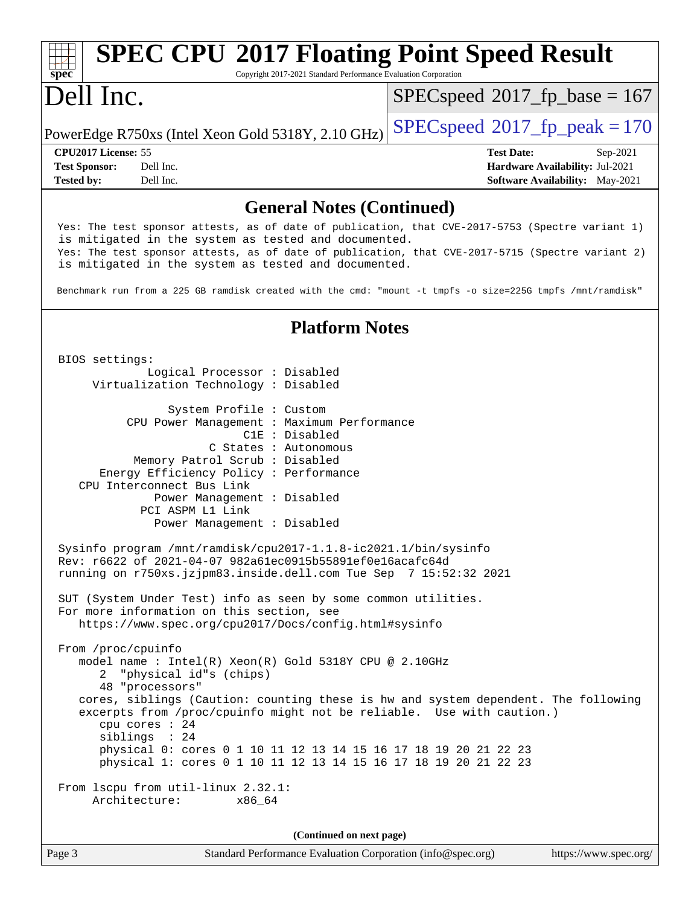## **[spec](http://www.spec.org/) [SPEC CPU](http://www.spec.org/auto/cpu2017/Docs/result-fields.html#SPECCPU2017FloatingPointSpeedResult)[2017 Floating Point Speed Result](http://www.spec.org/auto/cpu2017/Docs/result-fields.html#SPECCPU2017FloatingPointSpeedResult)** Copyright 2017-2021 Standard Performance Evaluation Corporation Dell Inc. PowerEdge R750xs (Intel Xeon Gold 5318Y, 2.10 GHz)  $\left|$  [SPECspeed](http://www.spec.org/auto/cpu2017/Docs/result-fields.html#SPECspeed2017fppeak)<sup>®</sup>[2017\\_fp\\_peak = 1](http://www.spec.org/auto/cpu2017/Docs/result-fields.html#SPECspeed2017fppeak)70  $SPEC speed$ <sup>®</sup>[2017\\_fp\\_base = 1](http://www.spec.org/auto/cpu2017/Docs/result-fields.html#SPECspeed2017fpbase)67 **[CPU2017 License:](http://www.spec.org/auto/cpu2017/Docs/result-fields.html#CPU2017License)** 55 **[Test Date:](http://www.spec.org/auto/cpu2017/Docs/result-fields.html#TestDate)** Sep-2021 **[Test Sponsor:](http://www.spec.org/auto/cpu2017/Docs/result-fields.html#TestSponsor)** Dell Inc. **[Hardware Availability:](http://www.spec.org/auto/cpu2017/Docs/result-fields.html#HardwareAvailability)** Jul-2021 **[Tested by:](http://www.spec.org/auto/cpu2017/Docs/result-fields.html#Testedby)** Dell Inc. Dell Inc. **[Software Availability:](http://www.spec.org/auto/cpu2017/Docs/result-fields.html#SoftwareAvailability)** May-2021 **[General Notes \(Continued\)](http://www.spec.org/auto/cpu2017/Docs/result-fields.html#GeneralNotes)** Yes: The test sponsor attests, as of date of publication, that CVE-2017-5753 (Spectre variant 1) is mitigated in the system as tested and documented. Yes: The test sponsor attests, as of date of publication, that CVE-2017-5715 (Spectre variant 2) is mitigated in the system as tested and documented. Benchmark run from a 225 GB ramdisk created with the cmd: "mount -t tmpfs -o size=225G tmpfs /mnt/ramdisk" **[Platform Notes](http://www.spec.org/auto/cpu2017/Docs/result-fields.html#PlatformNotes)** BIOS settings: Logical Processor : Disabled Virtualization Technology : Disabled System Profile : Custom CPU Power Management : Maximum Performance C1E : Disabled C States : Autonomous Memory Patrol Scrub : Disabled Energy Efficiency Policy : Performance CPU Interconnect Bus Link Power Management : Disabled PCI ASPM L1 Link Power Management : Disabled Sysinfo program /mnt/ramdisk/cpu2017-1.1.8-ic2021.1/bin/sysinfo Rev: r6622 of 2021-04-07 982a61ec0915b55891ef0e16acafc64d running on r750xs.jzjpm83.inside.dell.com Tue Sep 7 15:52:32 2021 SUT (System Under Test) info as seen by some common utilities. For more information on this section, see <https://www.spec.org/cpu2017/Docs/config.html#sysinfo> From /proc/cpuinfo model name : Intel(R) Xeon(R) Gold 5318Y CPU @ 2.10GHz 2 "physical id"s (chips) 48 "processors" cores, siblings (Caution: counting these is hw and system dependent. The following excerpts from /proc/cpuinfo might not be reliable. Use with caution.) cpu cores : 24 siblings : 24 physical 0: cores 0 1 10 11 12 13 14 15 16 17 18 19 20 21 22 23 physical 1: cores 0 1 10 11 12 13 14 15 16 17 18 19 20 21 22 23 From lscpu from util-linux 2.32.1: Architecture: x86\_64 **(Continued on next page)**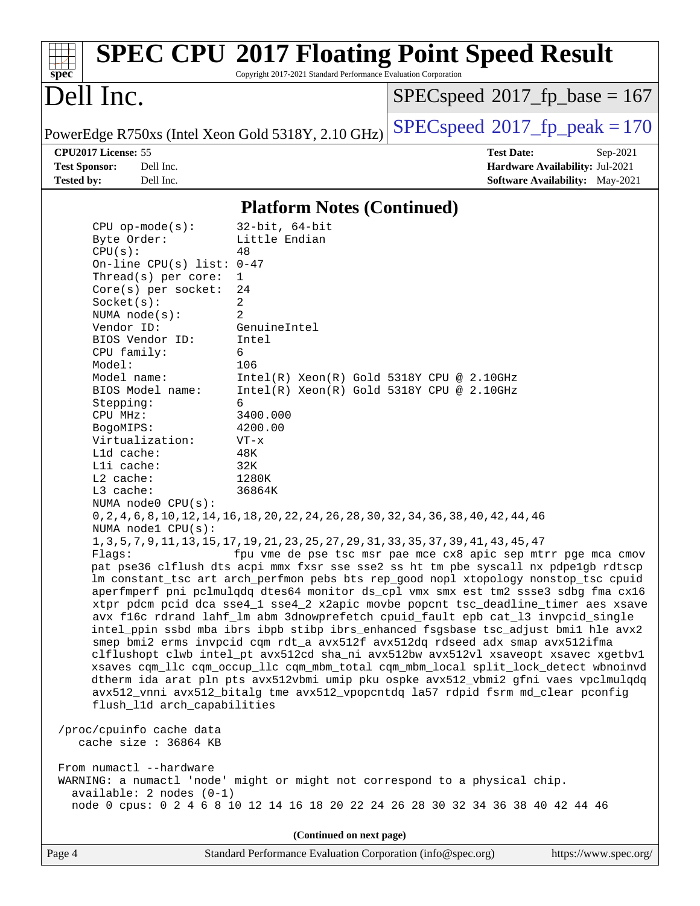| spec®                                                                                                                                                                                                                                                                                                                                                                                                                                                                                                                                                                  | Copyright 2017-2021 Standard Performance Evaluation Corporation                                                                                                                                                                                                                                                                                                                                                                                                                                                                                     | <b>SPEC CPU®2017 Floating Point Speed Result</b>                                                                                                                                                                                                                                                                                                                                                                                                                                                                                                                                                                                                                                                                                                                                                                                                                                                                                                                                                                                                                                                                                  |
|------------------------------------------------------------------------------------------------------------------------------------------------------------------------------------------------------------------------------------------------------------------------------------------------------------------------------------------------------------------------------------------------------------------------------------------------------------------------------------------------------------------------------------------------------------------------|-----------------------------------------------------------------------------------------------------------------------------------------------------------------------------------------------------------------------------------------------------------------------------------------------------------------------------------------------------------------------------------------------------------------------------------------------------------------------------------------------------------------------------------------------------|-----------------------------------------------------------------------------------------------------------------------------------------------------------------------------------------------------------------------------------------------------------------------------------------------------------------------------------------------------------------------------------------------------------------------------------------------------------------------------------------------------------------------------------------------------------------------------------------------------------------------------------------------------------------------------------------------------------------------------------------------------------------------------------------------------------------------------------------------------------------------------------------------------------------------------------------------------------------------------------------------------------------------------------------------------------------------------------------------------------------------------------|
| Dell Inc.                                                                                                                                                                                                                                                                                                                                                                                                                                                                                                                                                              |                                                                                                                                                                                                                                                                                                                                                                                                                                                                                                                                                     | $SPEC speed^{\circ}2017\_fp\_base = 167$                                                                                                                                                                                                                                                                                                                                                                                                                                                                                                                                                                                                                                                                                                                                                                                                                                                                                                                                                                                                                                                                                          |
|                                                                                                                                                                                                                                                                                                                                                                                                                                                                                                                                                                        | PowerEdge R750xs (Intel Xeon Gold 5318Y, 2.10 GHz)                                                                                                                                                                                                                                                                                                                                                                                                                                                                                                  | $SPEC speed^{\circ}2017$ _fp_peak = 170                                                                                                                                                                                                                                                                                                                                                                                                                                                                                                                                                                                                                                                                                                                                                                                                                                                                                                                                                                                                                                                                                           |
| CPU2017 License: 55<br><b>Test Sponsor:</b><br>Dell Inc.<br>Dell Inc.<br><b>Tested by:</b>                                                                                                                                                                                                                                                                                                                                                                                                                                                                             |                                                                                                                                                                                                                                                                                                                                                                                                                                                                                                                                                     | <b>Test Date:</b><br>Sep-2021<br>Hardware Availability: Jul-2021<br><b>Software Availability:</b> May-2021                                                                                                                                                                                                                                                                                                                                                                                                                                                                                                                                                                                                                                                                                                                                                                                                                                                                                                                                                                                                                        |
|                                                                                                                                                                                                                                                                                                                                                                                                                                                                                                                                                                        | <b>Platform Notes (Continued)</b>                                                                                                                                                                                                                                                                                                                                                                                                                                                                                                                   |                                                                                                                                                                                                                                                                                                                                                                                                                                                                                                                                                                                                                                                                                                                                                                                                                                                                                                                                                                                                                                                                                                                                   |
| $CPU$ op-mode( $s$ ):<br>Byte Order:<br>CPU(s):<br>On-line CPU(s) list: $0-47$<br>Thread( $s$ ) per core:<br>$Core(s)$ per socket:<br>Socket(s):<br>NUMA node(s):<br>Vendor ID:<br>BIOS Vendor ID:<br>CPU family:<br>Model:<br>Model name:<br>BIOS Model name:<br>Stepping:<br>CPU MHz:<br>BogoMIPS:<br>Virtualization:<br>Lld cache:<br>Lli cache:<br>L2 cache:<br>L3 cache:<br>NUMA node0 CPU(s):<br>NUMA nodel CPU(s):<br>flush_l1d arch_capabilities<br>/proc/cpuinfo cache data<br>cache size : 36864 KB<br>From numactl --hardware<br>$available: 2 nodes (0-1)$ | $32$ -bit, $64$ -bit<br>Little Endian<br>48<br>1<br>24<br>2<br>2<br>GenuineIntel<br>Intel<br>6<br>106<br>$Intel(R) Xeon(R) Gold 5318Y CPU @ 2.10GHz$<br>Intel(R) Xeon(R) Gold 5318Y CPU @ 2.10GHz<br>6<br>3400.000<br>4200.00<br>$VT - x$<br>48K<br>32K<br>1280K<br>36864K<br>0, 2, 4, 6, 8, 10, 12, 14, 16, 18, 20, 22, 24, 26, 28, 30, 32, 34, 36, 38, 40, 42, 44, 46<br>1, 3, 5, 7, 9, 11, 13, 15, 17, 19, 21, 23, 25, 27, 29, 31, 33, 35, 37, 39, 41, 43, 45, 47<br>WARNING: a numactl 'node' might or might not correspond to a physical chip. | Flags: fpu vme de pse tsc msr pae mce cx8 apic sep mtrr pge mca cmov<br>pat pse36 clflush dts acpi mmx fxsr sse sse2 ss ht tm pbe syscall nx pdpelgb rdtscp<br>lm constant_tsc art arch_perfmon pebs bts rep_good nopl xtopology nonstop_tsc cpuid<br>aperfmperf pni pclmulqdq dtes64 monitor ds_cpl vmx smx est tm2 ssse3 sdbg fma cx16<br>xtpr pdcm pcid dca sse4_1 sse4_2 x2apic movbe popcnt tsc_deadline_timer aes xsave<br>avx f16c rdrand lahf_lm abm 3dnowprefetch cpuid_fault epb cat_13 invpcid_single<br>intel_ppin ssbd mba ibrs ibpb stibp ibrs_enhanced fsgsbase tsc_adjust bmil hle avx2<br>smep bmi2 erms invpcid cqm rdt_a avx512f avx512dq rdseed adx smap avx512ifma<br>clflushopt clwb intel_pt avx512cd sha_ni avx512bw avx512vl xsaveopt xsavec xgetbv1<br>xsaves cqm_llc cqm_occup_llc cqm_mbm_total cqm_mbm_local split_lock_detect wbnoinvd<br>dtherm ida arat pln pts avx512vbmi umip pku ospke avx512_vbmi2 gfni vaes vpclmulqdq<br>avx512_vnni avx512_bitalg tme avx512_vpopcntdq la57 rdpid fsrm md_clear pconfig<br>node 0 cpus: 0 2 4 6 8 10 12 14 16 18 20 22 24 26 28 30 32 34 36 38 40 42 44 46 |
|                                                                                                                                                                                                                                                                                                                                                                                                                                                                                                                                                                        | (Continued on next page)                                                                                                                                                                                                                                                                                                                                                                                                                                                                                                                            |                                                                                                                                                                                                                                                                                                                                                                                                                                                                                                                                                                                                                                                                                                                                                                                                                                                                                                                                                                                                                                                                                                                                   |
| Page 4                                                                                                                                                                                                                                                                                                                                                                                                                                                                                                                                                                 | Standard Performance Evaluation Corporation (info@spec.org)                                                                                                                                                                                                                                                                                                                                                                                                                                                                                         | https://www.spec.org/                                                                                                                                                                                                                                                                                                                                                                                                                                                                                                                                                                                                                                                                                                                                                                                                                                                                                                                                                                                                                                                                                                             |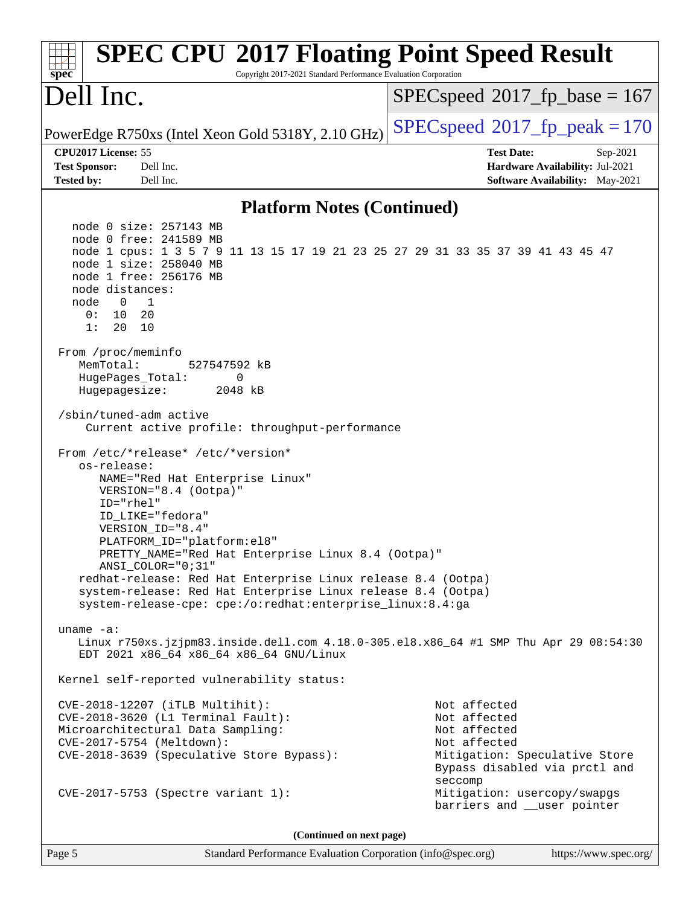| <b>SPEC CPU®2017 Floating Point Speed Result</b><br>Copyright 2017-2021 Standard Performance Evaluation Corporation<br>spec <sup>®</sup>                                                                                                                                                                                                                                                                                                                                                                                                                                                                                                                                                                                                                                                                                                                                                                                                                                                                                                                                            |                                                                       |
|-------------------------------------------------------------------------------------------------------------------------------------------------------------------------------------------------------------------------------------------------------------------------------------------------------------------------------------------------------------------------------------------------------------------------------------------------------------------------------------------------------------------------------------------------------------------------------------------------------------------------------------------------------------------------------------------------------------------------------------------------------------------------------------------------------------------------------------------------------------------------------------------------------------------------------------------------------------------------------------------------------------------------------------------------------------------------------------|-----------------------------------------------------------------------|
| Dell Inc.                                                                                                                                                                                                                                                                                                                                                                                                                                                                                                                                                                                                                                                                                                                                                                                                                                                                                                                                                                                                                                                                           | $SPEC speed^{\circ}2017$ fp base = 167                                |
| PowerEdge R750xs (Intel Xeon Gold 5318Y, 2.10 GHz)                                                                                                                                                                                                                                                                                                                                                                                                                                                                                                                                                                                                                                                                                                                                                                                                                                                                                                                                                                                                                                  | $SPEC speed^{\circ}2017$ fp peak = 170                                |
| CPU2017 License: 55                                                                                                                                                                                                                                                                                                                                                                                                                                                                                                                                                                                                                                                                                                                                                                                                                                                                                                                                                                                                                                                                 | <b>Test Date:</b><br>$Sep-2021$                                       |
| Dell Inc.<br><b>Test Sponsor:</b><br><b>Tested by:</b><br>Dell Inc.                                                                                                                                                                                                                                                                                                                                                                                                                                                                                                                                                                                                                                                                                                                                                                                                                                                                                                                                                                                                                 | Hardware Availability: Jul-2021<br>Software Availability: May-2021    |
|                                                                                                                                                                                                                                                                                                                                                                                                                                                                                                                                                                                                                                                                                                                                                                                                                                                                                                                                                                                                                                                                                     |                                                                       |
| <b>Platform Notes (Continued)</b>                                                                                                                                                                                                                                                                                                                                                                                                                                                                                                                                                                                                                                                                                                                                                                                                                                                                                                                                                                                                                                                   |                                                                       |
| node 0 size: 257143 MB<br>node 0 free: 241589 MB<br>node 1 cpus: 1 3 5 7 9 11 13 15 17 19 21 23 25 27 29 31 33 35 37 39 41 43 45 47<br>node 1 size: 258040 MB<br>node 1 free: 256176 MB<br>node distances:<br>node<br>0<br>1<br>0: 10<br>- 20<br>1:<br>20<br>10<br>From /proc/meminfo<br>MemTotal:<br>527547592 kB<br>HugePages_Total:<br>0<br>Hugepagesize:<br>2048 kB<br>/sbin/tuned-adm active<br>Current active profile: throughput-performance<br>From /etc/*release* /etc/*version*<br>os-release:<br>NAME="Red Hat Enterprise Linux"<br>VERSION="8.4 (Ootpa)"<br>ID="rhel"<br>ID_LIKE="fedora"<br>VERSION_ID="8.4"<br>PLATFORM_ID="platform:el8"<br>PRETTY_NAME="Red Hat Enterprise Linux 8.4 (Ootpa)"<br>ANSI_COLOR="0;31"<br>redhat-release: Red Hat Enterprise Linux release 8.4 (Ootpa)<br>system-release: Red Hat Enterprise Linux release 8.4 (Ootpa)<br>system-release-cpe: cpe:/o:redhat:enterprise_linux:8.4:ga<br>uname $-a$ :<br>Linux r750xs.jzjpm83.inside.dell.com 4.18.0-305.el8.x86_64 #1 SMP Thu Apr 29 08:54:30<br>EDT 2021 x86_64 x86_64 x86_64 GNU/Linux |                                                                       |
| Kernel self-reported vulnerability status:                                                                                                                                                                                                                                                                                                                                                                                                                                                                                                                                                                                                                                                                                                                                                                                                                                                                                                                                                                                                                                          |                                                                       |
| CVE-2018-12207 (iTLB Multihit):<br>CVE-2018-3620 (L1 Terminal Fault):                                                                                                                                                                                                                                                                                                                                                                                                                                                                                                                                                                                                                                                                                                                                                                                                                                                                                                                                                                                                               | Not affected<br>Not affected                                          |
| Microarchitectural Data Sampling:<br>CVE-2017-5754 (Meltdown):                                                                                                                                                                                                                                                                                                                                                                                                                                                                                                                                                                                                                                                                                                                                                                                                                                                                                                                                                                                                                      | Not affected<br>Not affected                                          |
| CVE-2018-3639 (Speculative Store Bypass):                                                                                                                                                                                                                                                                                                                                                                                                                                                                                                                                                                                                                                                                                                                                                                                                                                                                                                                                                                                                                                           | Mitigation: Speculative Store<br>Bypass disabled via prctl and        |
| CVE-2017-5753 (Spectre variant 1):                                                                                                                                                                                                                                                                                                                                                                                                                                                                                                                                                                                                                                                                                                                                                                                                                                                                                                                                                                                                                                                  | seccomp<br>Mitigation: usercopy/swapgs<br>barriers and __user pointer |
| (Continued on next page)                                                                                                                                                                                                                                                                                                                                                                                                                                                                                                                                                                                                                                                                                                                                                                                                                                                                                                                                                                                                                                                            |                                                                       |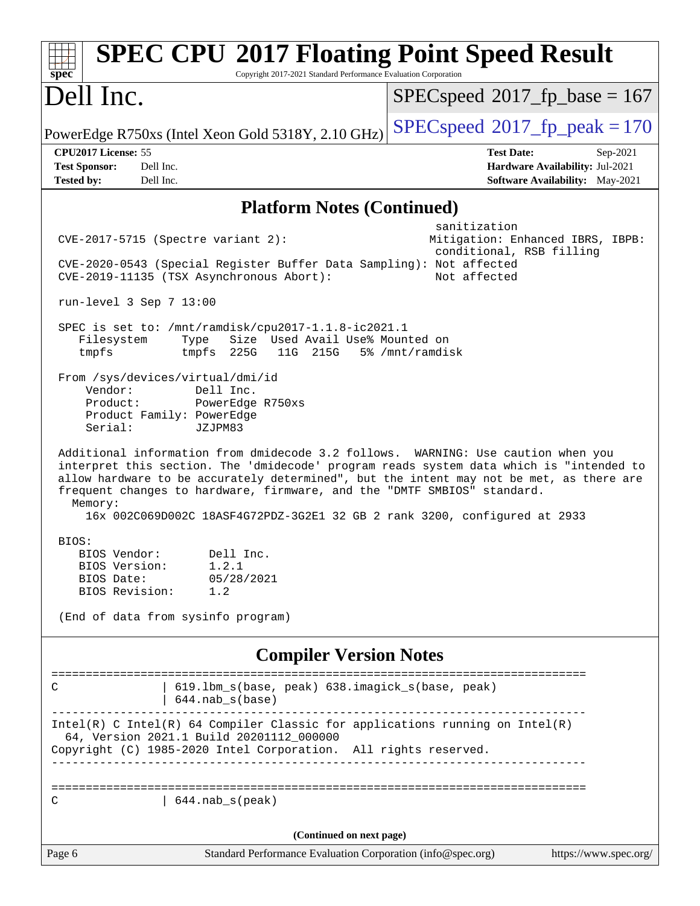| <b>SPEC CPU®2017 Floating Point Speed Result</b><br>Copyright 2017-2021 Standard Performance Evaluation Corporation<br>spec <sup>®</sup>                                                                                                                                                                                                                                                                                                   |                                                                                                            |
|--------------------------------------------------------------------------------------------------------------------------------------------------------------------------------------------------------------------------------------------------------------------------------------------------------------------------------------------------------------------------------------------------------------------------------------------|------------------------------------------------------------------------------------------------------------|
| Dell Inc.                                                                                                                                                                                                                                                                                                                                                                                                                                  | $SPEC speed^{\circ}2017\_fp\_base = 167$                                                                   |
| PowerEdge R750xs (Intel Xeon Gold 5318Y, 2.10 GHz)                                                                                                                                                                                                                                                                                                                                                                                         | $SPEC speed^{\circ}2017$ fp peak = 170                                                                     |
| CPU2017 License: 55<br><b>Test Sponsor:</b><br>Dell Inc.<br><b>Tested by:</b><br>Dell Inc.                                                                                                                                                                                                                                                                                                                                                 | <b>Test Date:</b><br>Sep-2021<br>Hardware Availability: Jul-2021<br><b>Software Availability:</b> May-2021 |
| <b>Platform Notes (Continued)</b>                                                                                                                                                                                                                                                                                                                                                                                                          |                                                                                                            |
| $CVE-2017-5715$ (Spectre variant 2):<br>CVE-2020-0543 (Special Register Buffer Data Sampling): Not affected<br>CVE-2019-11135 (TSX Asynchronous Abort):                                                                                                                                                                                                                                                                                    | sanitization<br>Mitigation: Enhanced IBRS, IBPB:<br>conditional, RSB filling<br>Not affected               |
| run-level $3$ Sep $7$ 13:00                                                                                                                                                                                                                                                                                                                                                                                                                |                                                                                                            |
| SPEC is set to: /mnt/ramdisk/cpu2017-1.1.8-ic2021.1<br>Size Used Avail Use% Mounted on<br>Filesystem<br>Type<br>tmpfs<br>tmpfs 225G<br>11G 215G                                                                                                                                                                                                                                                                                            | 5% /mnt/ramdisk                                                                                            |
| From /sys/devices/virtual/dmi/id<br>Vendor:<br>Dell Inc.<br>Product:<br>PowerEdge R750xs<br>Product Family: PowerEdge<br>Serial:<br>JZJPM83                                                                                                                                                                                                                                                                                                |                                                                                                            |
| Additional information from dmidecode 3.2 follows. WARNING: Use caution when you<br>interpret this section. The 'dmidecode' program reads system data which is "intended to<br>allow hardware to be accurately determined", but the intent may not be met, as there are<br>frequent changes to hardware, firmware, and the "DMTF SMBIOS" standard.<br>Memory:<br>16x 002C069D002C 18ASF4G72PDZ-3G2E1 32 GB 2 rank 3200, configured at 2933 |                                                                                                            |
| BIOS:<br>BIOS Vendor:<br>Dell Inc<br>1.2.1<br>BIOS Version:<br>05/28/2021<br>BIOS Date:<br>BIOS Revision:<br>1.2<br>(End of data from sysinfo program)                                                                                                                                                                                                                                                                                     |                                                                                                            |
| <b>Compiler Version Notes</b>                                                                                                                                                                                                                                                                                                                                                                                                              |                                                                                                            |
| 619.1bm_s(base, peak) 638.imagick_s(base, peak)<br>С<br>$644.nab_s(base)$                                                                                                                                                                                                                                                                                                                                                                  | ______________________________________                                                                     |
| $Intel(R)$ C Intel(R) 64 Compiler Classic for applications running on Intel(R)<br>64, Version 2021.1 Build 20201112_000000<br>Copyright (C) 1985-2020 Intel Corporation. All rights reserved.                                                                                                                                                                                                                                              |                                                                                                            |
| 644.nab_s(peak)<br>С                                                                                                                                                                                                                                                                                                                                                                                                                       |                                                                                                            |
| (Continued on next page)                                                                                                                                                                                                                                                                                                                                                                                                                   |                                                                                                            |
| Standard Performance Evaluation Corporation (info@spec.org)<br>Page 6                                                                                                                                                                                                                                                                                                                                                                      | https://www.spec.org/                                                                                      |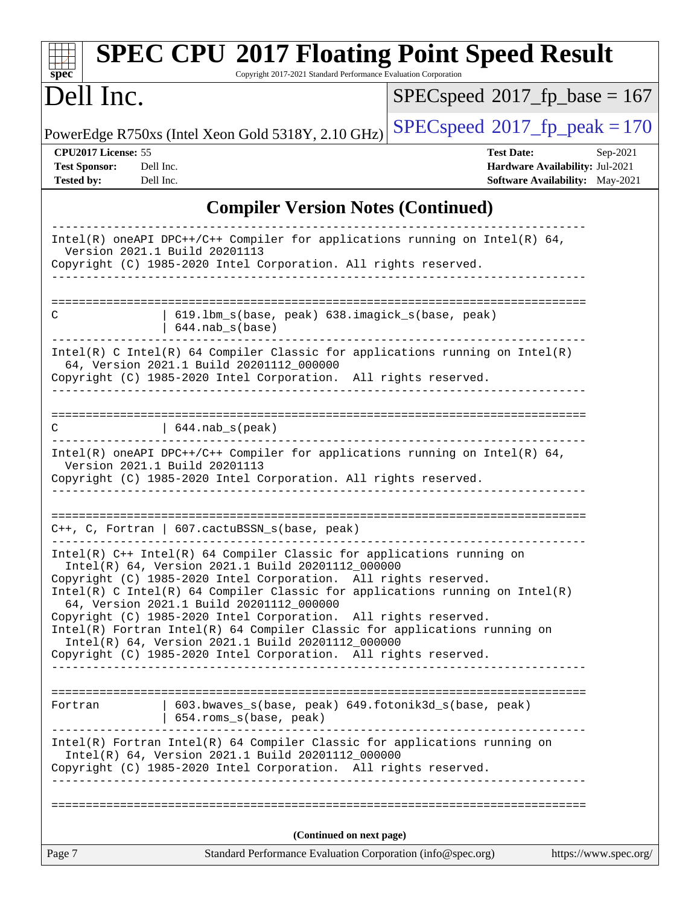| <b>SPEC CPU®2017 Floating Point Speed Result</b><br>Copyright 2017-2021 Standard Performance Evaluation Corporation<br>$spec^*$                                                                                                                                                                                                                                                                                                                                                                                                                                                                   |                                                                                                            |
|---------------------------------------------------------------------------------------------------------------------------------------------------------------------------------------------------------------------------------------------------------------------------------------------------------------------------------------------------------------------------------------------------------------------------------------------------------------------------------------------------------------------------------------------------------------------------------------------------|------------------------------------------------------------------------------------------------------------|
| Dell Inc.                                                                                                                                                                                                                                                                                                                                                                                                                                                                                                                                                                                         | $SPEC speed^{\circ}2017$ fp base = 167                                                                     |
| PowerEdge R750xs (Intel Xeon Gold 5318Y, 2.10 GHz)                                                                                                                                                                                                                                                                                                                                                                                                                                                                                                                                                | $SPEC speed^{\circ}2017$ fp peak = 170                                                                     |
| CPU2017 License: 55<br><b>Test Sponsor:</b><br>Dell Inc.<br><b>Tested by:</b><br>Dell Inc.                                                                                                                                                                                                                                                                                                                                                                                                                                                                                                        | <b>Test Date:</b><br>Sep-2021<br>Hardware Availability: Jul-2021<br><b>Software Availability:</b> May-2021 |
| <b>Compiler Version Notes (Continued)</b>                                                                                                                                                                                                                                                                                                                                                                                                                                                                                                                                                         |                                                                                                            |
| Intel(R) oneAPI DPC++/C++ Compiler for applications running on Intel(R) $64$ ,<br>Version 2021.1 Build 20201113<br>Copyright (C) 1985-2020 Intel Corporation. All rights reserved.                                                                                                                                                                                                                                                                                                                                                                                                                |                                                                                                            |
| 619.1bm_s(base, peak) 638.imagick_s(base, peak)<br>C<br>$644.nab_s(base)$                                                                                                                                                                                                                                                                                                                                                                                                                                                                                                                         |                                                                                                            |
| Intel(R) C Intel(R) 64 Compiler Classic for applications running on $Intel(R)$<br>64, Version 2021.1 Build 20201112_000000<br>Copyright (C) 1985-2020 Intel Corporation. All rights reserved.                                                                                                                                                                                                                                                                                                                                                                                                     |                                                                                                            |
| C<br>$  644.nab_s(peak)$                                                                                                                                                                                                                                                                                                                                                                                                                                                                                                                                                                          |                                                                                                            |
| Intel(R) oneAPI DPC++/C++ Compiler for applications running on Intel(R) $64$ ,<br>Version 2021.1 Build 20201113<br>Copyright (C) 1985-2020 Intel Corporation. All rights reserved.                                                                                                                                                                                                                                                                                                                                                                                                                |                                                                                                            |
| $C++$ , C, Fortran   607.cactuBSSN_s(base, peak)                                                                                                                                                                                                                                                                                                                                                                                                                                                                                                                                                  |                                                                                                            |
| Intel(R) C++ Intel(R) 64 Compiler Classic for applications running on<br>Intel(R) 64, Version 2021.1 Build 20201112_000000<br>Copyright (C) 1985-2020 Intel Corporation. All rights reserved.<br>Intel(R) C Intel(R) 64 Compiler Classic for applications running on Intel(R)<br>64, Version 2021.1 Build 20201112_000000<br>Copyright (C) 1985-2020 Intel Corporation. All rights reserved.<br>Intel(R) Fortran Intel(R) 64 Compiler Classic for applications running on<br>Intel(R) 64, Version 2021.1 Build 20201112_000000<br>Copyright (C) 1985-2020 Intel Corporation. All rights reserved. |                                                                                                            |
| 603.bwaves_s(base, peak) 649.fotonik3d_s(base, peak)<br>Fortran<br>654.roms_s(base, peak)                                                                                                                                                                                                                                                                                                                                                                                                                                                                                                         |                                                                                                            |
| Intel(R) Fortran Intel(R) 64 Compiler Classic for applications running on<br>Intel(R) 64, Version 2021.1 Build 20201112_000000<br>Copyright (C) 1985-2020 Intel Corporation. All rights reserved.                                                                                                                                                                                                                                                                                                                                                                                                 |                                                                                                            |
|                                                                                                                                                                                                                                                                                                                                                                                                                                                                                                                                                                                                   |                                                                                                            |
| (Continued on next page)                                                                                                                                                                                                                                                                                                                                                                                                                                                                                                                                                                          |                                                                                                            |
| Page 7<br>Standard Performance Evaluation Corporation (info@spec.org)                                                                                                                                                                                                                                                                                                                                                                                                                                                                                                                             | https://www.spec.org/                                                                                      |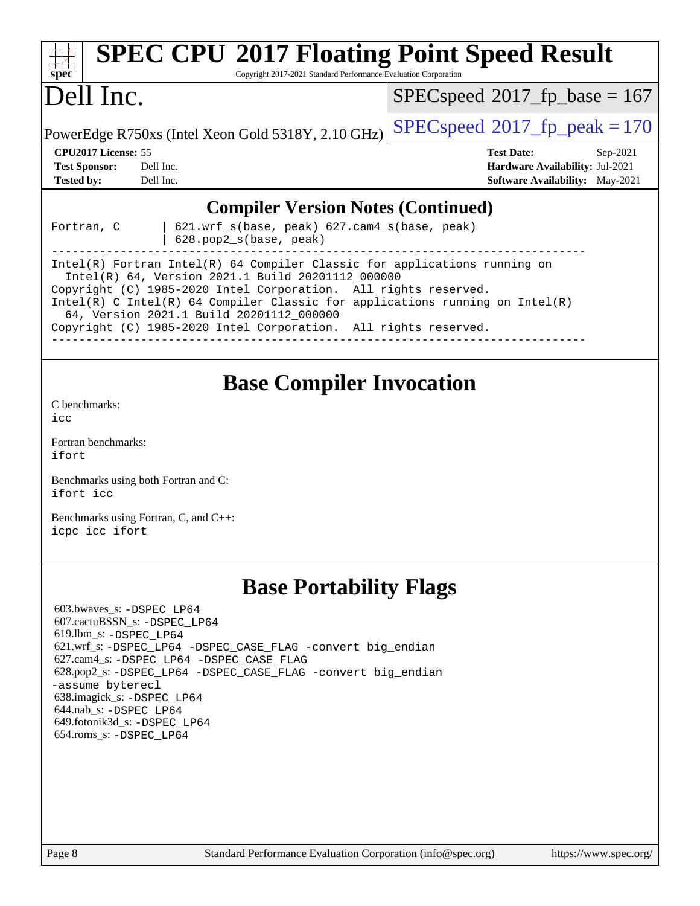| <b>SPEC CPU®2017 Floating Point Speed Result</b><br>Copyright 2017-2021 Standard Performance Evaluation Corporation<br>$spec^*$                                                                                                                                                                                                                                                                                                           |                                                                                                            |
|-------------------------------------------------------------------------------------------------------------------------------------------------------------------------------------------------------------------------------------------------------------------------------------------------------------------------------------------------------------------------------------------------------------------------------------------|------------------------------------------------------------------------------------------------------------|
| Dell Inc.                                                                                                                                                                                                                                                                                                                                                                                                                                 | $SPEC speed^{\circ}2017$ fp base = 167                                                                     |
| PowerEdge R750xs (Intel Xeon Gold 5318Y, 2.10 GHz)                                                                                                                                                                                                                                                                                                                                                                                        | $SPEC speed^{\circ}2017$ fp peak = 170                                                                     |
| CPU2017 License: 55<br><b>Test Sponsor:</b><br>Dell Inc.<br><b>Tested by:</b><br>Dell Inc.                                                                                                                                                                                                                                                                                                                                                | <b>Test Date:</b><br>Sep-2021<br>Hardware Availability: Jul-2021<br><b>Software Availability:</b> May-2021 |
| <b>Compiler Version Notes (Continued)</b><br>621.wrf_s(base, peak) 627.cam4_s(base, peak)<br>Fortran, C<br>628.pop2_s(base, peak)<br>Intel(R) Fortran Intel(R) 64 Compiler Classic for applications running on<br>Intel(R) 64, Version 2021.1 Build 20201112_000000<br>Copyright (C) 1985-2020 Intel Corporation. All rights reserved.<br>Intel(R) C Intel(R) 64 Compiler Classic for applications running on $Intel(R)$                  |                                                                                                            |
| 64, Version 2021.1 Build 20201112_000000<br>Copyright (C) 1985-2020 Intel Corporation. All rights reserved.                                                                                                                                                                                                                                                                                                                               |                                                                                                            |
| <b>Base Compiler Invocation</b><br>C benchmarks:<br>icc<br>Fortran benchmarks:<br>ifort<br>Benchmarks using both Fortran and C:<br>ifort icc<br>Benchmarks using Fortran, C, and C++:<br>icpc icc ifort                                                                                                                                                                                                                                   |                                                                                                            |
| <b>Base Portability Flags</b><br>603.bwaves_s: -DSPEC LP64<br>607.cactuBSSN_s: -DSPEC_LP64<br>619.1bm $s: -$ DSPEC LP64<br>621.wrf_s: -DSPEC_LP64 -DSPEC_CASE_FLAG -convert big_endian<br>627.cam4_s: -DSPEC LP64 -DSPEC CASE FLAG<br>628.pop2_s: -DSPEC LP64 -DSPEC CASE FLAG -convert big endian<br>-assume byterecl<br>638.imagick_s: -DSPEC_LP64<br>644.nab_s: -DSPEC_LP64<br>649.fotonik3d_s: -DSPEC LP64<br>654.roms_s: -DSPEC_LP64 |                                                                                                            |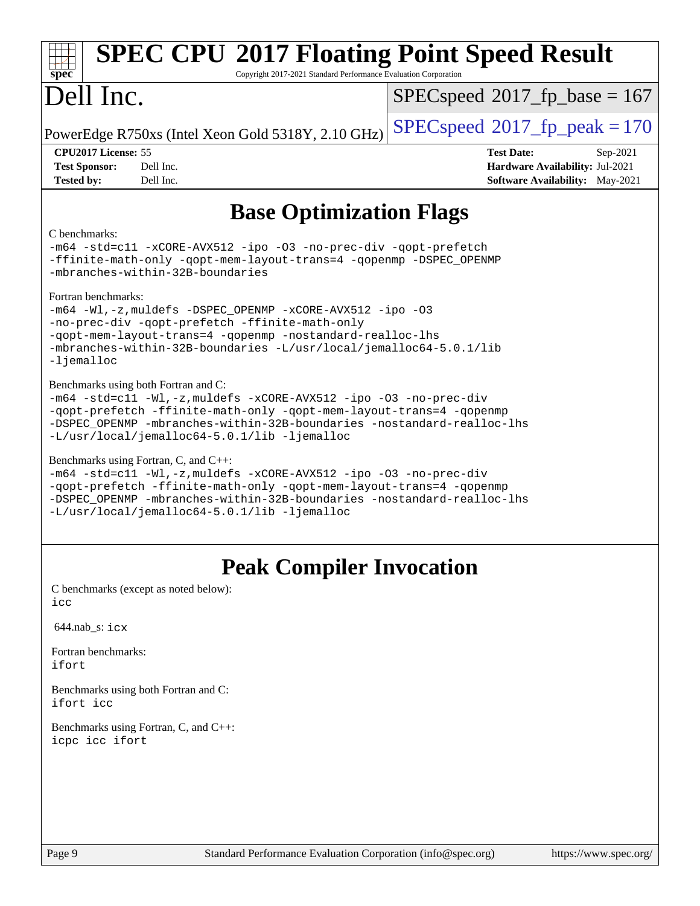| <b>SPEC CPU®2017 Floating Point Speed Result</b><br>spec <sup>®</sup><br>Copyright 2017-2021 Standard Performance Evaluation Corporation                                                                                                                                                                    |                                                                                                            |
|-------------------------------------------------------------------------------------------------------------------------------------------------------------------------------------------------------------------------------------------------------------------------------------------------------------|------------------------------------------------------------------------------------------------------------|
| Dell Inc.                                                                                                                                                                                                                                                                                                   | $SPEC speed^{\circ}2017$ [p_base = 167                                                                     |
| PowerEdge R750xs (Intel Xeon Gold 5318Y, 2.10 GHz)                                                                                                                                                                                                                                                          | $SPEC speed^{\circ}2017$ fp peak = 170                                                                     |
| CPU2017 License: 55<br><b>Test Sponsor:</b><br>Dell Inc.<br><b>Tested by:</b><br>Dell Inc.                                                                                                                                                                                                                  | <b>Test Date:</b><br>Sep-2021<br>Hardware Availability: Jul-2021<br><b>Software Availability:</b> May-2021 |
| <b>Base Optimization Flags</b>                                                                                                                                                                                                                                                                              |                                                                                                            |
| C benchmarks:<br>-m64 -std=cll -xCORE-AVX512 -ipo -03 -no-prec-div -qopt-prefetch<br>-ffinite-math-only -qopt-mem-layout-trans=4 -qopenmp -DSPEC_OPENMP<br>-mbranches-within-32B-boundaries                                                                                                                 |                                                                                                            |
| Fortran benchmarks:<br>-m64 -Wl,-z, muldefs -DSPEC_OPENMP -xCORE-AVX512 -ipo -03<br>-no-prec-div -qopt-prefetch -ffinite-math-only<br>-qopt-mem-layout-trans=4 -qopenmp -nostandard-realloc-lhs<br>-mbranches-within-32B-boundaries -L/usr/local/jemalloc64-5.0.1/lib<br>$-lj$ emalloc                      |                                                                                                            |
| Benchmarks using both Fortran and C:<br>-m64 -std=c11 -Wl,-z, muldefs -xCORE-AVX512 -ipo -03 -no-prec-div<br>-qopt-prefetch -ffinite-math-only -qopt-mem-layout-trans=4 -qopenmp<br>-DSPEC OPENMP -mbranches-within-32B-boundaries -nostandard-realloc-lhs<br>-L/usr/local/jemalloc64-5.0.1/lib -ljemalloc  |                                                                                                            |
| Benchmarks using Fortran, C, and C++:<br>-m64 -std=c11 -Wl,-z, muldefs -xCORE-AVX512 -ipo -03 -no-prec-div<br>-qopt-prefetch -ffinite-math-only -qopt-mem-layout-trans=4 -qopenmp<br>-DSPEC_OPENMP -mbranches-within-32B-boundaries -nostandard-realloc-lhs<br>-L/usr/local/jemalloc64-5.0.1/lib -ljemalloc |                                                                                                            |
| <b>Peak Compiler Invocation</b>                                                                                                                                                                                                                                                                             |                                                                                                            |
| C benchmarks (except as noted below):<br>icc                                                                                                                                                                                                                                                                |                                                                                                            |
| $644.nab$ <sub>s</sub> : $i$ $cx$                                                                                                                                                                                                                                                                           |                                                                                                            |
| Fortran benchmarks:<br>ifort                                                                                                                                                                                                                                                                                |                                                                                                            |
| Benchmarks using both Fortran and C:<br>ifort icc                                                                                                                                                                                                                                                           |                                                                                                            |

[Benchmarks using Fortran, C, and C++:](http://www.spec.org/auto/cpu2017/Docs/result-fields.html#BenchmarksusingFortranCandCXX) [icpc](http://www.spec.org/cpu2017/results/res2021q4/cpu2017-20211025-29861.flags.html#user_CC_CXX_FCpeak_intel_icpc_c510b6838c7f56d33e37e94d029a35b4a7bccf4766a728ee175e80a419847e808290a9b78be685c44ab727ea267ec2f070ec5dc83b407c0218cded6866a35d07) [icc](http://www.spec.org/cpu2017/results/res2021q4/cpu2017-20211025-29861.flags.html#user_CC_CXX_FCpeak_intel_icc_66fc1ee009f7361af1fbd72ca7dcefbb700085f36577c54f309893dd4ec40d12360134090235512931783d35fd58c0460139e722d5067c5574d8eaf2b3e37e92) [ifort](http://www.spec.org/cpu2017/results/res2021q4/cpu2017-20211025-29861.flags.html#user_CC_CXX_FCpeak_intel_ifort_8111460550e3ca792625aed983ce982f94888b8b503583aa7ba2b8303487b4d8a21a13e7191a45c5fd58ff318f48f9492884d4413fa793fd88dd292cad7027ca)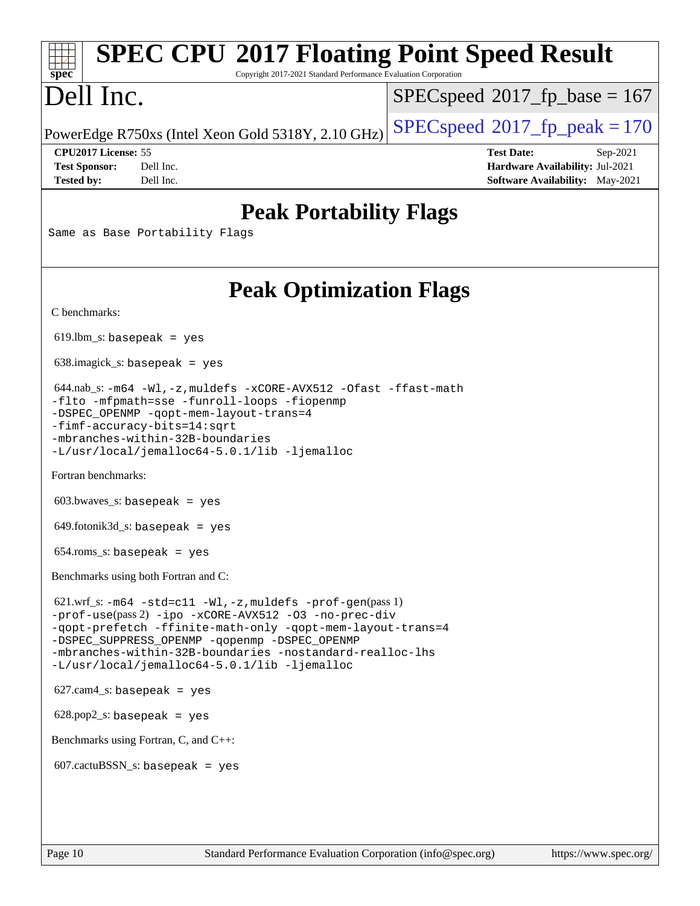| <b>SPEC CPU®2017 Floating Point Speed Result</b><br>Copyright 2017-2021 Standard Performance Evaluation Corporation<br>spec <sup>®</sup>                                                                                                                                                                                                                      |                                                                                                              |
|---------------------------------------------------------------------------------------------------------------------------------------------------------------------------------------------------------------------------------------------------------------------------------------------------------------------------------------------------------------|--------------------------------------------------------------------------------------------------------------|
| Dell Inc.                                                                                                                                                                                                                                                                                                                                                     | $SPEC speed^{\circ}2017$ fp base = 167                                                                       |
| PowerEdge R750xs (Intel Xeon Gold 5318Y, 2.10 GHz)                                                                                                                                                                                                                                                                                                            | $SPEC speed^{\circ}2017$ [p_peak = 170                                                                       |
| CPU2017 License: 55<br><b>Test Sponsor:</b><br>Dell Inc.<br>Dell Inc.<br><b>Tested by:</b>                                                                                                                                                                                                                                                                    | <b>Test Date:</b><br>$Sep-2021$<br>Hardware Availability: Jul-2021<br><b>Software Availability:</b> May-2021 |
| <b>Peak Portability Flags</b><br>Same as Base Portability Flags                                                                                                                                                                                                                                                                                               |                                                                                                              |
| <b>Peak Optimization Flags</b><br>C benchmarks:                                                                                                                                                                                                                                                                                                               |                                                                                                              |
| $619.$ lbm_s: basepeak = yes                                                                                                                                                                                                                                                                                                                                  |                                                                                                              |
| $638.\text{imagek}_s:$ basepeak = yes                                                                                                                                                                                                                                                                                                                         |                                                                                                              |
| $644.nab_s$ : $-m64 -Wl$ , $-z$ , muldefs $-xCORE$ -AVX512 -Ofast -ffast-math<br>-flto -mfpmath=sse -funroll-loops -fiopenmp<br>-DSPEC_OPENMP -qopt-mem-layout-trans=4<br>-fimf-accuracy-bits=14:sqrt<br>-mbranches-within-32B-boundaries<br>-L/usr/local/jemalloc64-5.0.1/lib -ljemalloc                                                                     |                                                                                                              |
| Fortran benchmarks:                                                                                                                                                                                                                                                                                                                                           |                                                                                                              |
| $603.bwaves$ s: basepeak = yes                                                                                                                                                                                                                                                                                                                                |                                                                                                              |
| $649.$ fotonik $3d$ <sub>S</sub> : basepeak = yes                                                                                                                                                                                                                                                                                                             |                                                                                                              |
| $654$ .roms_s: basepeak = yes                                                                                                                                                                                                                                                                                                                                 |                                                                                                              |
| Benchmarks using both Fortran and C:                                                                                                                                                                                                                                                                                                                          |                                                                                                              |
| $621.wrf_s$ : $-m64 - std = c11 - Wl$ , $-z$ , muldefs $-prof-qen(pass1)$<br>-prof-use(pass 2) -ipo -xCORE-AVX512 -03 -no-prec-div<br>-qopt-prefetch -ffinite-math-only -qopt-mem-layout-trans=4<br>-DSPEC_SUPPRESS_OPENMP -qopenmp -DSPEC_OPENMP<br>-mbranches-within-32B-boundaries -nostandard-realloc-lhs<br>-L/usr/local/jemalloc64-5.0.1/lib -ljemalloc |                                                                                                              |
| $627.cam4_s$ : basepeak = yes                                                                                                                                                                                                                                                                                                                                 |                                                                                                              |
| $628.pop2_s: basepeak = yes$                                                                                                                                                                                                                                                                                                                                  |                                                                                                              |
| Benchmarks using Fortran, C, and C++:                                                                                                                                                                                                                                                                                                                         |                                                                                                              |
| $607.cactuBSSN_s$ : basepeak = yes                                                                                                                                                                                                                                                                                                                            |                                                                                                              |
|                                                                                                                                                                                                                                                                                                                                                               |                                                                                                              |